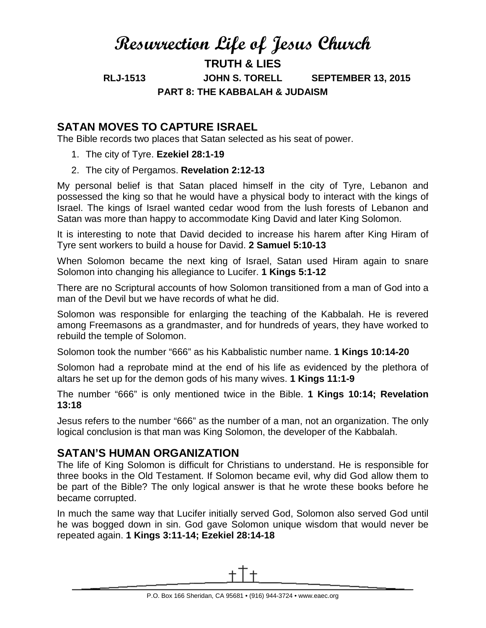# **Resurrection Life of Jesus Church**

**TRUTH & LIES**

**RLJ-1513 JOHN S. TORELL SEPTEMBER 13, 2015 PART 8: THE KABBALAH & JUDAISM**

# **SATAN MOVES TO CAPTURE ISRAEL**

The Bible records two places that Satan selected as his seat of power.

- 1. The city of Tyre. **Ezekiel 28:1-19**
- 2. The city of Pergamos. **Revelation 2:12-13**

My personal belief is that Satan placed himself in the city of Tyre, Lebanon and possessed the king so that he would have a physical body to interact with the kings of Israel. The kings of Israel wanted cedar wood from the lush forests of Lebanon and Satan was more than happy to accommodate King David and later King Solomon.

It is interesting to note that David decided to increase his harem after King Hiram of Tyre sent workers to build a house for David. **2 Samuel 5:10-13**

When Solomon became the next king of Israel, Satan used Hiram again to snare Solomon into changing his allegiance to Lucifer. **1 Kings 5:1-12**

There are no Scriptural accounts of how Solomon transitioned from a man of God into a man of the Devil but we have records of what he did.

Solomon was responsible for enlarging the teaching of the Kabbalah. He is revered among Freemasons as a grandmaster, and for hundreds of years, they have worked to rebuild the temple of Solomon.

Solomon took the number "666" as his Kabbalistic number name. **1 Kings 10:14-20**

Solomon had a reprobate mind at the end of his life as evidenced by the plethora of altars he set up for the demon gods of his many wives. **1 Kings 11:1-9**

The number "666" is only mentioned twice in the Bible. **1 Kings 10:14; Revelation 13:18**

Jesus refers to the number "666" as the number of a man, not an organization. The only logical conclusion is that man was King Solomon, the developer of the Kabbalah.

#### **SATAN'S HUMAN ORGANIZATION**

The life of King Solomon is difficult for Christians to understand. He is responsible for three books in the Old Testament. If Solomon became evil, why did God allow them to be part of the Bible? The only logical answer is that he wrote these books before he became corrupted.

In much the same way that Lucifer initially served God, Solomon also served God until he was bogged down in sin. God gave Solomon unique wisdom that would never be repeated again. **1 Kings 3:11-14; Ezekiel 28:14-18**

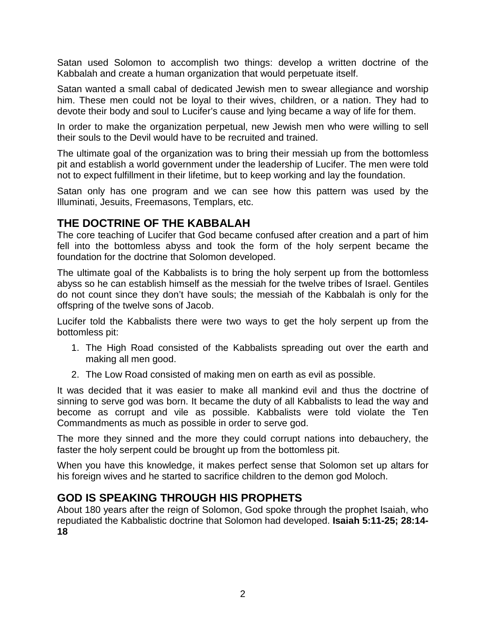Satan used Solomon to accomplish two things: develop a written doctrine of the Kabbalah and create a human organization that would perpetuate itself.

Satan wanted a small cabal of dedicated Jewish men to swear allegiance and worship him. These men could not be loyal to their wives, children, or a nation. They had to devote their body and soul to Lucifer's cause and lying became a way of life for them.

In order to make the organization perpetual, new Jewish men who were willing to sell their souls to the Devil would have to be recruited and trained.

The ultimate goal of the organization was to bring their messiah up from the bottomless pit and establish a world government under the leadership of Lucifer. The men were told not to expect fulfillment in their lifetime, but to keep working and lay the foundation.

Satan only has one program and we can see how this pattern was used by the Illuminati, Jesuits, Freemasons, Templars, etc.

#### **THE DOCTRINE OF THE KABBALAH**

The core teaching of Lucifer that God became confused after creation and a part of him fell into the bottomless abyss and took the form of the holy serpent became the foundation for the doctrine that Solomon developed.

The ultimate goal of the Kabbalists is to bring the holy serpent up from the bottomless abyss so he can establish himself as the messiah for the twelve tribes of Israel. Gentiles do not count since they don't have souls; the messiah of the Kabbalah is only for the offspring of the twelve sons of Jacob.

Lucifer told the Kabbalists there were two ways to get the holy serpent up from the bottomless pit:

- 1. The High Road consisted of the Kabbalists spreading out over the earth and making all men good.
- 2. The Low Road consisted of making men on earth as evil as possible.

It was decided that it was easier to make all mankind evil and thus the doctrine of sinning to serve god was born. It became the duty of all Kabbalists to lead the way and become as corrupt and vile as possible. Kabbalists were told violate the Ten Commandments as much as possible in order to serve god.

The more they sinned and the more they could corrupt nations into debauchery, the faster the holy serpent could be brought up from the bottomless pit.

When you have this knowledge, it makes perfect sense that Solomon set up altars for his foreign wives and he started to sacrifice children to the demon god Moloch.

## **GOD IS SPEAKING THROUGH HIS PROPHETS**

About 180 years after the reign of Solomon, God spoke through the prophet Isaiah, who repudiated the Kabbalistic doctrine that Solomon had developed. **Isaiah 5:11-25; 28:14- 18**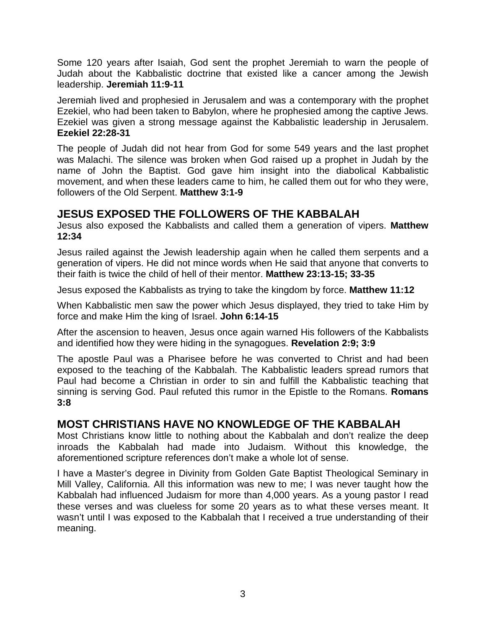Some 120 years after Isaiah, God sent the prophet Jeremiah to warn the people of Judah about the Kabbalistic doctrine that existed like a cancer among the Jewish leadership. **Jeremiah 11:9-11**

Jeremiah lived and prophesied in Jerusalem and was a contemporary with the prophet Ezekiel, who had been taken to Babylon, where he prophesied among the captive Jews. Ezekiel was given a strong message against the Kabbalistic leadership in Jerusalem. **Ezekiel 22:28-31**

The people of Judah did not hear from God for some 549 years and the last prophet was Malachi. The silence was broken when God raised up a prophet in Judah by the name of John the Baptist. God gave him insight into the diabolical Kabbalistic movement, and when these leaders came to him, he called them out for who they were, followers of the Old Serpent. **Matthew 3:1-9**

## **JESUS EXPOSED THE FOLLOWERS OF THE KABBALAH**

Jesus also exposed the Kabbalists and called them a generation of vipers. **Matthew 12:34**

Jesus railed against the Jewish leadership again when he called them serpents and a generation of vipers. He did not mince words when He said that anyone that converts to their faith is twice the child of hell of their mentor. **Matthew 23:13-15; 33-35**

Jesus exposed the Kabbalists as trying to take the kingdom by force. **Matthew 11:12**

When Kabbalistic men saw the power which Jesus displayed, they tried to take Him by force and make Him the king of Israel. **John 6:14-15**

After the ascension to heaven, Jesus once again warned His followers of the Kabbalists and identified how they were hiding in the synagogues. **Revelation 2:9; 3:9**

The apostle Paul was a Pharisee before he was converted to Christ and had been exposed to the teaching of the Kabbalah. The Kabbalistic leaders spread rumors that Paul had become a Christian in order to sin and fulfill the Kabbalistic teaching that sinning is serving God. Paul refuted this rumor in the Epistle to the Romans. **Romans 3:8**

## **MOST CHRISTIANS HAVE NO KNOWLEDGE OF THE KABBALAH**

Most Christians know little to nothing about the Kabbalah and don't realize the deep inroads the Kabbalah had made into Judaism. Without this knowledge, the aforementioned scripture references don't make a whole lot of sense.

I have a Master's degree in Divinity from Golden Gate Baptist Theological Seminary in Mill Valley, California. All this information was new to me; I was never taught how the Kabbalah had influenced Judaism for more than 4,000 years. As a young pastor I read these verses and was clueless for some 20 years as to what these verses meant. It wasn't until I was exposed to the Kabbalah that I received a true understanding of their meaning.